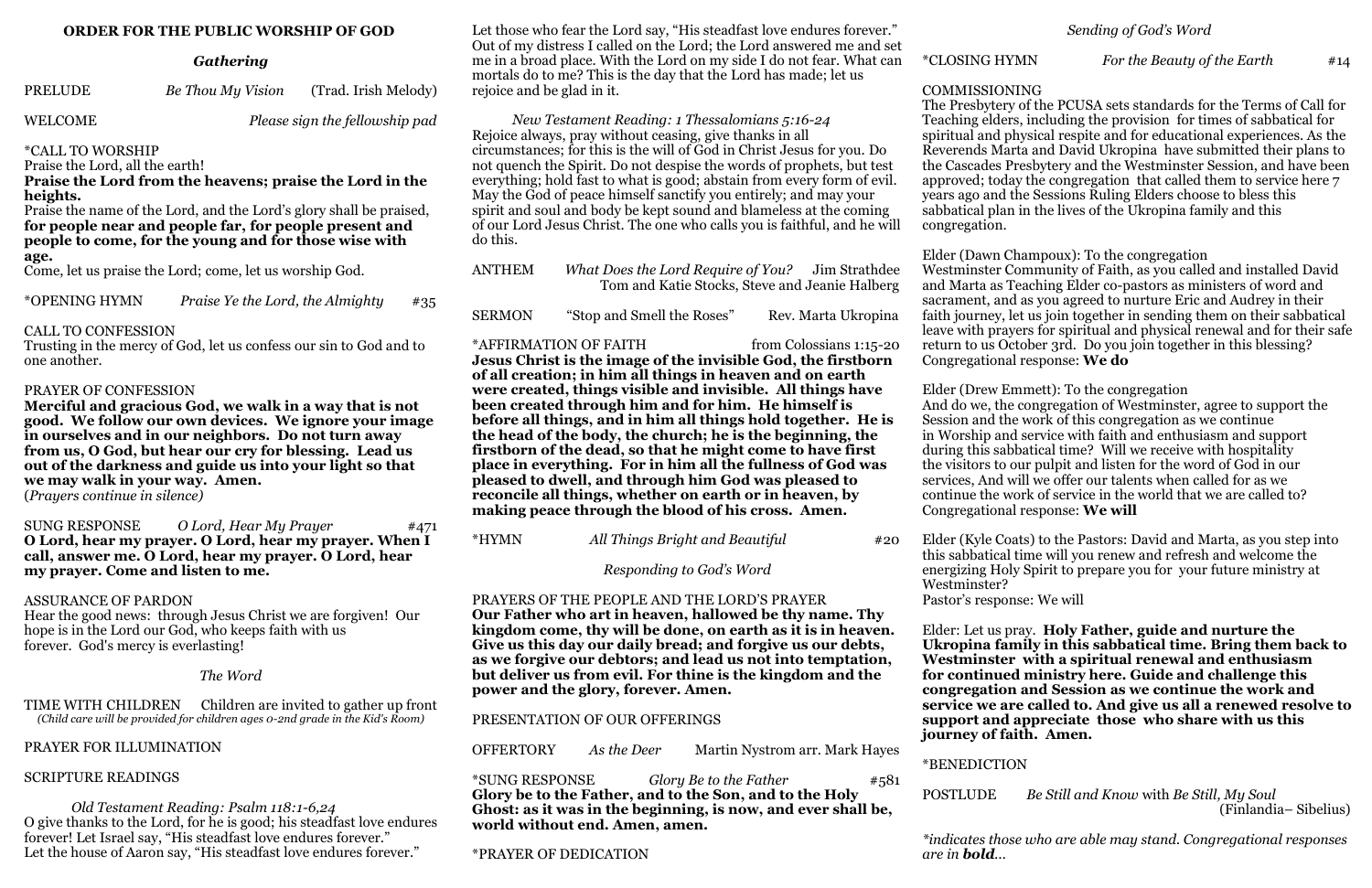### **ORDER FOR THE PUBLIC WORSHIP OF GOD**

### *Gathering*

WELCOME *Please sign the fellowship pad* 

\*CALL TO WORSHIP

Praise the Lord, all the earth!

**Praise the Lord from the heavens; praise the Lord in the heights.**

Praise the name of the Lord, and the Lord's glory shall be praised, **for people near and people far, for people present and people to come, for the young and for those wise with age.**

Come, let us praise the Lord; come, let us worship God.

\*OPENING HYMN *Praise Ye the Lord, the Almighty* #35

### CALL TO CONFESSION

Trusting in the mercy of God, let us confess our sin to God and to one another.

### PRAYER OF CONFESSION

 *Old Testament Reading: Psalm 118:1-6,24* O give thanks to the Lord, for he is good; his steadfast love endures forever! Let Israel say, "His steadfast love endures forever." Let the house of Aaron say, "His steadfast love endures forever."

**Merciful and gracious God, we walk in a way that is not good. We follow our own devices. We ignore your image in ourselves and in our neighbors. Do not turn away from us, O God, but hear our cry for blessing. Lead us out of the darkness and guide us into your light so that we may walk in your way. Amen.** 

(*Prayers continue in silence)*

SUNG RESPONSE *O Lord, Hear My Prayer* #471 **O Lord, hear my prayer. O Lord, hear my prayer. When I call, answer me. O Lord, hear my prayer. O Lord, hear my prayer. Come and listen to me.** 

### ASSURANCE OF PARDON

Hear the good news: through Jesus Christ we are forgiven! Our hope is in the Lord our God, who keeps faith with us forever. God's mercy is everlasting!

### *The Word*

TIME WITH CHILDREN Children are invited to gather up front *(Child care will be provided for children ages 0-2nd grade in the Kid's Room)*

# PRAYER FOR ILLUMINATION

# SCRIPTURE READINGS

Let those who fear the Lord say, "His steadfast love endures forever." Out of my distress I called on the Lord; the Lord answered me and set me in a broad place. With the Lord on my side I do not fear. What can mortals do to me? This is the day that the Lord has made; let us rejoice and be glad in it.

*New Testament Reading: 1 Thessalomians 5:16-24* Rejoice always, pray without ceasing, give thanks in all circumstances; for this is the will of God in Christ Jesus for you. Do not quench the Spirit. Do not despise the words of prophets, but test everything; hold fast to what is good; abstain from every form of evil. May the God of peace himself sanctify you entirely; and may your spirit and soul and body be kept sound and blameless at the coming of our Lord Jesus Christ. The one who calls you is faithful, and he will do this.

| ANTHEM | What Does the Lord Require of You? Jim Strathdee |  |
|--------|--------------------------------------------------|--|
|        | Tom and Katie Stocks, Steve and Jeanie Halberg   |  |
|        |                                                  |  |

SERMON "Stop and Smell the Roses" Rev. Marta Ukropina

\*AFFIRMATION OF FAITH from Colossians 1:15-20

**Jesus Christ is the image of the invisible God, the firstborn of all creation; in him all things in heaven and on earth were created, things visible and invisible. All things have been created through him and for him. He himself is before all things, and in him all things hold together. He is the head of the body, the church; he is the beginning, the firstborn of the dead, so that he might come to have first place in everything. For in him all the fullness of God was pleased to dwell, and through him God was pleased to reconcile all things, whether on earth or in heaven, by making peace through the blood of his cross. Amen.** 

\*HYMN *All Things Bright and Beautiful* #20

*Responding to God's Word*

PRAYERS OF THE PEOPLE AND THE LORD'S PRAYER **Our Father who art in heaven, hallowed be thy name. Thy kingdom come, thy will be done, on earth as it is in heaven. Give us this day our daily bread; and forgive us our debts, as we forgive our debtors; and lead us not into temptation, but deliver us from evil. For thine is the kingdom and the power and the glory, forever. Amen.**

PRESENTATION OF OUR OFFERINGS

OFFERTORY *As the Deer* Martin Nystrom arr. Mark Hayes

\*SUNG RESPONSE *Glory Be to the Father* #581 **Glory be to the Father, and to the Son, and to the Holy Ghost: as it was in the beginning, is now, and ever shall be, world without end. Amen, amen.**

\*PRAYER OF DEDICATION

### \*CLOSING HYMN *For the Beauty of the Earth* #14

COMMISSIONING The Presbytery of the PCUSA sets standards for the Terms of Call for Teaching elders, including the provision for times of sabbatical for spiritual and physical respite and for educational experiences. As the Reverends Marta and David Ukropina have submitted their plans to the Cascades Presbytery and the Westminster Session, and have been approved; today the congregation that called them to service here 7 years ago and the Sessions Ruling Elders choose to bless this sabbatical plan in the lives of the Ukropina family and this congregation.

Elder (Dawn Champoux): To the congregation Westminster Community of Faith, as you called and installed David and Marta as Teaching Elder co-pastors as ministers of word and sacrament, and as you agreed to nurture Eric and Audrey in their faith journey, let us join together in sending them on their sabbatical leave with prayers for spiritual and physical renewal and for their safe return to us October 3rd. Do you join together in this blessing? Congregational response: **We do**

Elder (Drew Emmett): To the congregation And do we, the congregation of Westminster, agree to support the Session and the work of this congregation as we continue in Worship and service with faith and enthusiasm and support during this sabbatical time? Will we receive with hospitality the visitors to our pulpit and listen for the word of God in our services, And will we offer our talents when called for as we continue the work of service in the world that we are called to? Congregational response: **We will**

Elder (Kyle Coats) to the Pastors: David and Marta, as you step into this sabbatical time will you renew and refresh and welcome the energizing Holy Spirit to prepare you for your future ministry at

Westminster?

# Pastor's response: We will

Elder: Let us pray. **Holy Father, guide and nurture the Ukropina family in this sabbatical time. Bring them back to Westminster with a spiritual renewal and enthusiasm for continued ministry here. Guide and challenge this congregation and Session as we continue the work and service we are called to. And give us all a renewed resolve to support and appreciate those who share with us this journey of faith. Amen.**

\*BENEDICTION

POSTLUDE *Be Still and Know* with *Be Still, My Soul*  (Finlandia– Sibelius)

*\*indicates those who are able may stand. Congregational responses* 

*are in bold...*